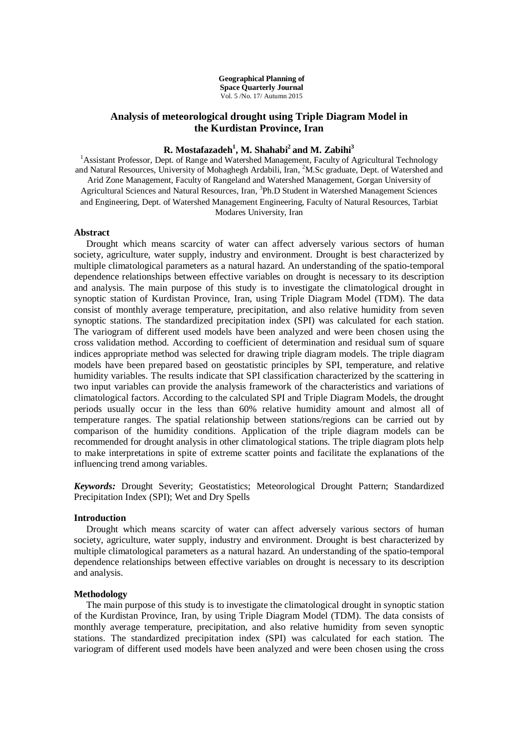**Geographical Planning of Space Quarterly Journal** Vol. 5 /No. 17/ Autumn 2015

## **Analysis of meteorological drought using Triple Diagram Model in the Kurdistan Province, Iran**

# **R. Mostafazadeh<sup>1</sup> , M. Shahabi<sup>2</sup> and M. Zabihi<sup>3</sup>**

<sup>1</sup>Assistant Professor, Dept. of Range and Watershed Management, Faculty of Agricultural Technology and Natural Resources, University of Mohaghegh Ardabili, Iran, <sup>2</sup>M.Sc graduate, Dept. of Watershed and Arid Zone Management, Faculty of Rangeland and Watershed Management, Gorgan University of Agricultural Sciences and Natural Resources, Iran, <sup>3</sup>Ph.D Student in Watershed Management Sciences and Engineering, Dept. of Watershed Management Engineering, Faculty of Natural Resources, Tarbiat Modares University, Iran

#### **Abstract**

Drought which means scarcity of water can affect adversely various sectors of human society, agriculture, water supply, industry and environment. Drought is best characterized by multiple climatological parameters as a natural hazard. An understanding of the spatio-temporal dependence relationships between effective variables on drought is necessary to its description and analysis. The main purpose of this study is to investigate the climatological drought in synoptic station of Kurdistan Province, Iran, using Triple Diagram Model (TDM). The data consist of monthly average temperature, precipitation, and also relative humidity from seven synoptic stations. The standardized precipitation index (SPI) was calculated for each station. The variogram of different used models have been analyzed and were been chosen using the cross validation method. According to coefficient of determination and residual sum of square indices appropriate method was selected for drawing triple diagram models. The triple diagram models have been prepared based on geostatistic principles by SPI, temperature, and relative humidity variables. The results indicate that SPI classification characterized by the scattering in two input variables can provide the analysis framework of the characteristics and variations of climatological factors. According to the calculated SPI and Triple Diagram Models, the drought periods usually occur in the less than 60% relative humidity amount and almost all of temperature ranges. The spatial relationship between stations/regions can be carried out by comparison of the humidity conditions. Application of the triple diagram models can be recommended for drought analysis in other climatological stations. The triple diagram plots help to make interpretations in spite of extreme scatter points and facilitate the explanations of the influencing trend among variables.

*Keywords:* Drought Severity; Geostatistics; Meteorological Drought Pattern; Standardized Precipitation Index (SPI); Wet and Dry Spells

#### **Introduction**

Drought which means scarcity of water can affect adversely various sectors of human society, agriculture, water supply, industry and environment. Drought is best characterized by multiple climatological parameters as a natural hazard. An understanding of the spatio-temporal dependence relationships between effective variables on drought is necessary to its description and analysis.

#### **Methodology**

The main purpose of this study is to investigate the climatological drought in synoptic station of the Kurdistan Province, Iran, by using Triple Diagram Model (TDM). The data consists of monthly average temperature, precipitation, and also relative humidity from seven synoptic stations. The standardized precipitation index (SPI) was calculated for each station. The variogram of different used models have been analyzed and were been chosen using the cross